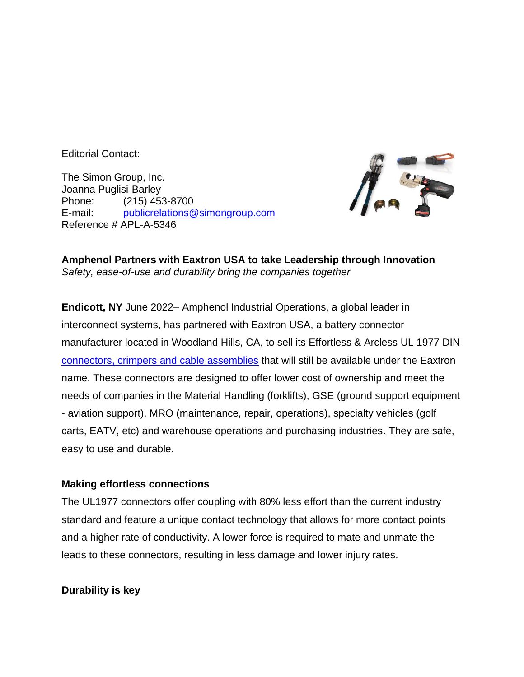Editorial Contact:

The Simon Group, Inc. Joanna Puglisi-Barley Phone: (215) 453-8700 E-mail: [publicrelations@simongroup.com](mailto:publicrelations@simongroup.com) Reference # APL-A-5346



**Amphenol Partners with Eaxtron USA to take Leadership through Innovation** *Safety, ease-of-use and durability bring the companies together*

**Endicott, NY** June 2022– Amphenol Industrial Operations, a global leader in interconnect systems, has partnered with Eaxtron USA, a battery connector manufacturer located in Woodland Hills, CA, to sell its Effortless & Arcless UL 1977 DIN connectors, [crimpers and cable assemblies](https://www.amphenol-industrial.com/eaxtron) that will still be available under the Eaxtron name. These connectors are designed to offer lower cost of ownership and meet the needs of companies in the Material Handling (forklifts), GSE (ground support equipment - aviation support), MRO (maintenance, repair, operations), specialty vehicles (golf carts, EATV, etc) and warehouse operations and purchasing industries. They are safe, easy to use and durable.

## **Making effortless connections**

The UL1977 connectors offer coupling with 80% less effort than the current industry standard and feature a unique contact technology that allows for more contact points and a higher rate of conductivity. A lower force is required to mate and unmate the leads to these connectors, resulting in less damage and lower injury rates.

## **Durability is key**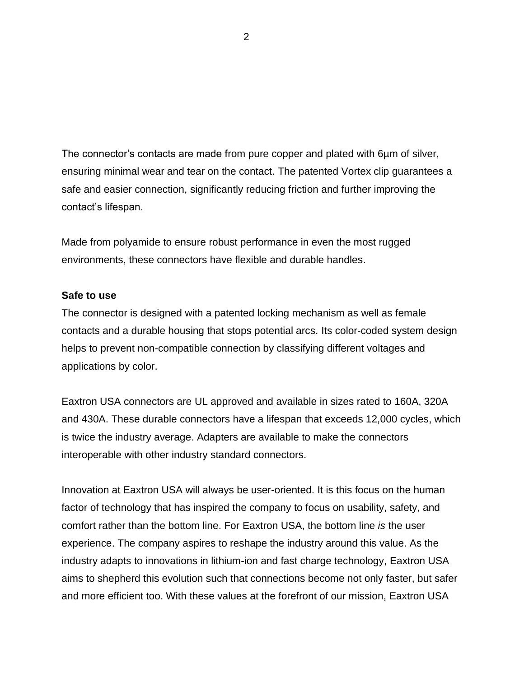The connector's contacts are made from pure copper and plated with 6µm of silver, ensuring minimal wear and tear on the contact. The patented Vortex clip guarantees a safe and easier connection, significantly reducing friction and further improving the contact's lifespan.

Made from polyamide to ensure robust performance in even the most rugged environments, these connectors have flexible and durable handles.

## **Safe to use**

The connector is designed with a patented locking mechanism as well as female contacts and a durable housing that stops potential arcs. Its color-coded system design helps to prevent non-compatible connection by classifying different voltages and applications by color.

Eaxtron USA connectors are UL approved and available in sizes rated to 160A, 320A and 430A. These durable connectors have a lifespan that exceeds 12,000 cycles, which is twice the industry average. Adapters are available to make the connectors interoperable with other industry standard connectors.

Innovation at Eaxtron USA will always be user-oriented. It is this focus on the human factor of technology that has inspired the company to focus on usability, safety, and comfort rather than the bottom line. For Eaxtron USA, the bottom line *is* the user experience. The company aspires to reshape the industry around this value. As the industry adapts to innovations in lithium-ion and fast charge technology, Eaxtron USA aims to shepherd this evolution such that connections become not only faster, but safer and more efficient too. With these values at the forefront of our mission, Eaxtron USA